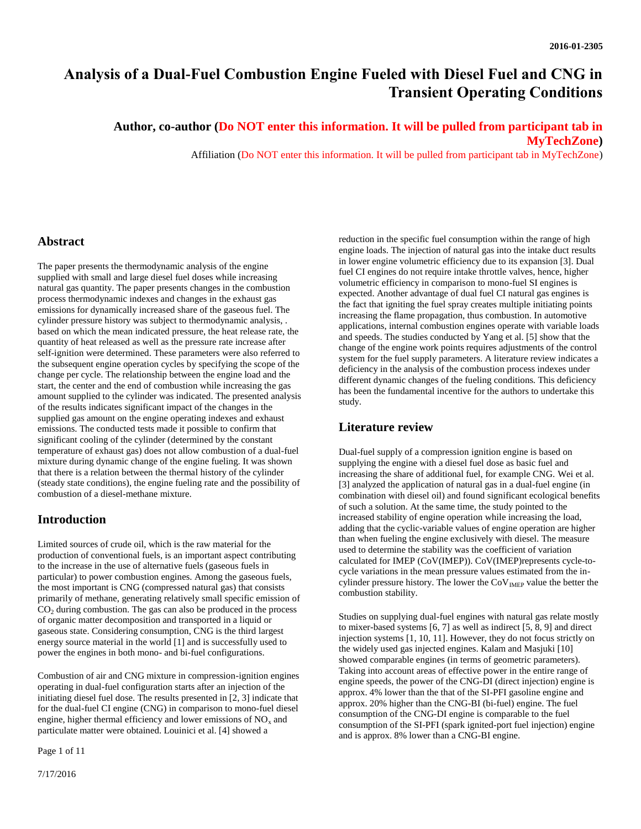# **Analysis of a Dual-Fuel Combustion Engine Fueled with Diesel Fuel and CNG in Transient Operating Conditions**

### **Author, co-author (Do NOT enter this information. It will be pulled from participant tab in MyTechZone)**

Affiliation (Do NOT enter this information. It will be pulled from participant tab in MyTechZone)

### **Abstract**

The paper presents the thermodynamic analysis of the engine supplied with small and large diesel fuel doses while increasing natural gas quantity. The paper presents changes in the combustion process thermodynamic indexes and changes in the exhaust gas emissions for dynamically increased share of the gaseous fuel. The cylinder pressure history was subject to thermodynamic analysis, . based on which the mean indicated pressure, the heat release rate, the quantity of heat released as well as the pressure rate increase after self-ignition were determined. These parameters were also referred to the subsequent engine operation cycles by specifying the scope of the change per cycle. The relationship between the engine load and the start, the center and the end of combustion while increasing the gas amount supplied to the cylinder was indicated. The presented analysis of the results indicates significant impact of the changes in the supplied gas amount on the engine operating indexes and exhaust emissions. The conducted tests made it possible to confirm that significant cooling of the cylinder (determined by the constant temperature of exhaust gas) does not allow combustion of a dual-fuel mixture during dynamic change of the engine fueling. It was shown that there is a relation between the thermal history of the cylinder (steady state conditions), the engine fueling rate and the possibility of combustion of a diesel-methane mixture.

#### **Introduction**

Limited sources of crude oil, which is the raw material for the production of conventional fuels, is an important aspect contributing to the increase in the use of alternative fuels (gaseous fuels in particular) to power combustion engines. Among the gaseous fuels, the most important is CNG (compressed natural gas) that consists primarily of methane, generating relatively small specific emission of  $CO<sub>2</sub>$  during combustion. The gas can also be produced in the process of organic matter decomposition and transported in a liquid or gaseous state. Considering consumption, CNG is the third largest energy source material in the world [1] and is successfully used to power the engines in both mono- and bi-fuel configurations.

Combustion of air and CNG mixture in compression-ignition engines operating in dual-fuel configuration starts after an injection of the initiating diesel fuel dose. The results presented in [2, 3] indicate that for the dual-fuel CI engine (CNG) in comparison to mono-fuel diesel engine, higher thermal efficiency and lower emissions of  $NO<sub>x</sub>$  and particulate matter were obtained. Louinici et al. [4] showed a

Page 1 of 11

reduction in the specific fuel consumption within the range of high engine loads. The injection of natural gas into the intake duct results in lower engine volumetric efficiency due to its expansion [3]. Dual fuel CI engines do not require intake throttle valves, hence, higher volumetric efficiency in comparison to mono-fuel SI engines is expected. Another advantage of dual fuel CI natural gas engines is the fact that igniting the fuel spray creates multiple initiating points increasing the flame propagation, thus combustion. In automotive applications, internal combustion engines operate with variable loads and speeds. The studies conducted by Yang et al. [5] show that the change of the engine work points requires adjustments of the control system for the fuel supply parameters. A literature review indicates a deficiency in the analysis of the combustion process indexes under different dynamic changes of the fueling conditions. This deficiency has been the fundamental incentive for the authors to undertake this study.

#### **Literature review**

Dual-fuel supply of a compression ignition engine is based on supplying the engine with a diesel fuel dose as basic fuel and increasing the share of additional fuel, for example CNG. Wei et al. [3] analyzed the application of natural gas in a dual-fuel engine (in combination with diesel oil) and found significant ecological benefits of such a solution. At the same time, the study pointed to the increased stability of engine operation while increasing the load, adding that the cyclic-variable values of engine operation are higher than when fueling the engine exclusively with diesel. The measure used to determine the stability was the coefficient of variation calculated for IMEP (CoV(IMEP)). CoV(IMEP)represents cycle-tocycle variations in the mean pressure values estimated from the incylinder pressure history. The lower the  $CoV<sub>IMEP</sub>$  value the better the combustion stability.

Studies on supplying dual-fuel engines with natural gas relate mostly to mixer-based systems [6, 7] as well as indirect [5, 8, 9] and direct injection systems [1, 10, 11]. However, they do not focus strictly on the widely used gas injected engines. Kalam and Masjuki [10] showed comparable engines (in terms of geometric parameters). Taking into account areas of effective power in the entire range of engine speeds, the power of the CNG-DI (direct injection) engine is approx. 4% lower than the that of the SI-PFI gasoline engine and approx. 20% higher than the CNG-BI (bi-fuel) engine. The fuel consumption of the CNG-DI engine is comparable to the fuel consumption of the SI-PFI (spark ignited-port fuel injection) engine and is approx. 8% lower than a CNG-BI engine.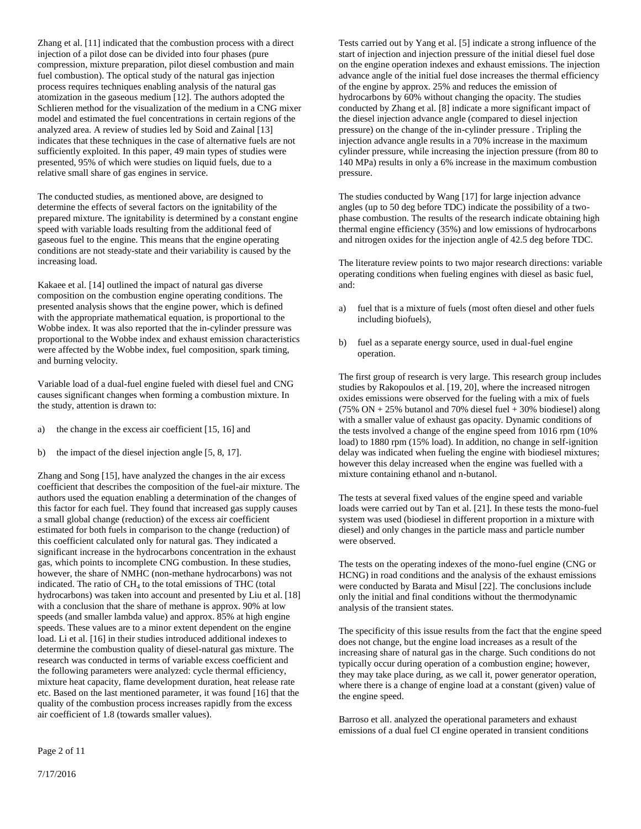Zhang et al. [11] indicated that the combustion process with a direct injection of a pilot dose can be divided into four phases (pure compression, mixture preparation, pilot diesel combustion and main fuel combustion). The optical study of the natural gas injection process requires techniques enabling analysis of the natural gas atomization in the gaseous medium [12]. The authors adopted the Schlieren method for the visualization of the medium in a CNG mixer model and estimated the fuel concentrations in certain regions of the analyzed area. A review of studies led by Soid and Zainal [13] indicates that these techniques in the case of alternative fuels are not sufficiently exploited. In this paper, 49 main types of studies were presented, 95% of which were studies on liquid fuels, due to a relative small share of gas engines in service.

The conducted studies, as mentioned above, are designed to determine the effects of several factors on the ignitability of the prepared mixture. The ignitability is determined by a constant engine speed with variable loads resulting from the additional feed of gaseous fuel to the engine. This means that the engine operating conditions are not steady-state and their variability is caused by the increasing load.

Kakaee et al. [14] outlined the impact of natural gas diverse composition on the combustion engine operating conditions. The presented analysis shows that the engine power, which is defined with the appropriate mathematical equation, is proportional to the Wobbe index. It was also reported that the in-cylinder pressure was proportional to the Wobbe index and exhaust emission characteristics were affected by the Wobbe index, fuel composition, spark timing, and burning velocity.

Variable load of a dual-fuel engine fueled with diesel fuel and CNG causes significant changes when forming a combustion mixture. In the study, attention is drawn to:

- a) the change in the excess air coefficient [15, 16] and
- b) the impact of the diesel injection angle [5, 8, 17].

Zhang and Song [15], have analyzed the changes in the air excess coefficient that describes the composition of the fuel-air mixture. The authors used the equation enabling a determination of the changes of this factor for each fuel. They found that increased gas supply causes a small global change (reduction) of the excess air coefficient estimated for both fuels in comparison to the change (reduction) of this coefficient calculated only for natural gas. They indicated a significant increase in the hydrocarbons concentration in the exhaust gas, which points to incomplete CNG combustion. In these studies, however, the share of NMHC (non-methane hydrocarbons) was not indicated. The ratio of  $CH_4$  to the total emissions of THC (total hydrocarbons) was taken into account and presented by Liu et al. [18] with a conclusion that the share of methane is approx. 90% at low speeds (and smaller lambda value) and approx. 85% at high engine speeds. These values are to a minor extent dependent on the engine load. Li et al. [16] in their studies introduced additional indexes to determine the combustion quality of diesel-natural gas mixture. The research was conducted in terms of variable excess coefficient and the following parameters were analyzed: cycle thermal efficiency, mixture heat capacity, flame development duration, heat release rate etc. Based on the last mentioned parameter, it was found [16] that the quality of the combustion process increases rapidly from the excess air coefficient of 1.8 (towards smaller values).

Tests carried out by Yang et al. [5] indicate a strong influence of the start of injection and injection pressure of the initial diesel fuel dose on the engine operation indexes and exhaust emissions. The injection advance angle of the initial fuel dose increases the thermal efficiency of the engine by approx. 25% and reduces the emission of hydrocarbons by 60% without changing the opacity. The studies conducted by Zhang et al. [8] indicate a more significant impact of the diesel injection advance angle (compared to diesel injection pressure) on the change of the in-cylinder pressure . Tripling the injection advance angle results in a 70% increase in the maximum cylinder pressure, while increasing the injection pressure (from 80 to 140 MPa) results in only a 6% increase in the maximum combustion pressure.

The studies conducted by Wang [17] for large injection advance angles (up to 50 deg before TDC) indicate the possibility of a twophase combustion. The results of the research indicate obtaining high thermal engine efficiency (35%) and low emissions of hydrocarbons and nitrogen oxides for the injection angle of 42.5 deg before TDC.

The literature review points to two major research directions: variable operating conditions when fueling engines with diesel as basic fuel, and:

- a) fuel that is a mixture of fuels (most often diesel and other fuels including biofuels),
- b) fuel as a separate energy source, used in dual-fuel engine operation.

The first group of research is very large. This research group includes studies by Rakopoulos et al. [19, 20], where the increased nitrogen oxides emissions were observed for the fueling with a mix of fuels (75%  $ON + 25%$  butanol and 70% diesel fuel  $+30%$  biodiesel) along with a smaller value of exhaust gas opacity. Dynamic conditions of the tests involved a change of the engine speed from 1016 rpm (10% load) to 1880 rpm (15% load). In addition, no change in self-ignition delay was indicated when fueling the engine with biodiesel mixtures; however this delay increased when the engine was fuelled with a mixture containing ethanol and n-butanol.

The tests at several fixed values of the engine speed and variable loads were carried out by Tan et al. [21]. In these tests the mono-fuel system was used (biodiesel in different proportion in a mixture with diesel) and only changes in the particle mass and particle number were observed.

The tests on the operating indexes of the mono-fuel engine (CNG or HCNG) in road conditions and the analysis of the exhaust emissions were conducted by Barata and Misul [22]. The conclusions include only the initial and final conditions without the thermodynamic analysis of the transient states.

The specificity of this issue results from the fact that the engine speed does not change, but the engine load increases as a result of the increasing share of natural gas in the charge. Such conditions do not typically occur during operation of a combustion engine; however, they may take place during, as we call it, power generator operation, where there is a change of engine load at a constant (given) value of the engine speed.

Barroso et all. analyzed the operational parameters and exhaust emissions of a dual fuel CI engine operated in transient conditions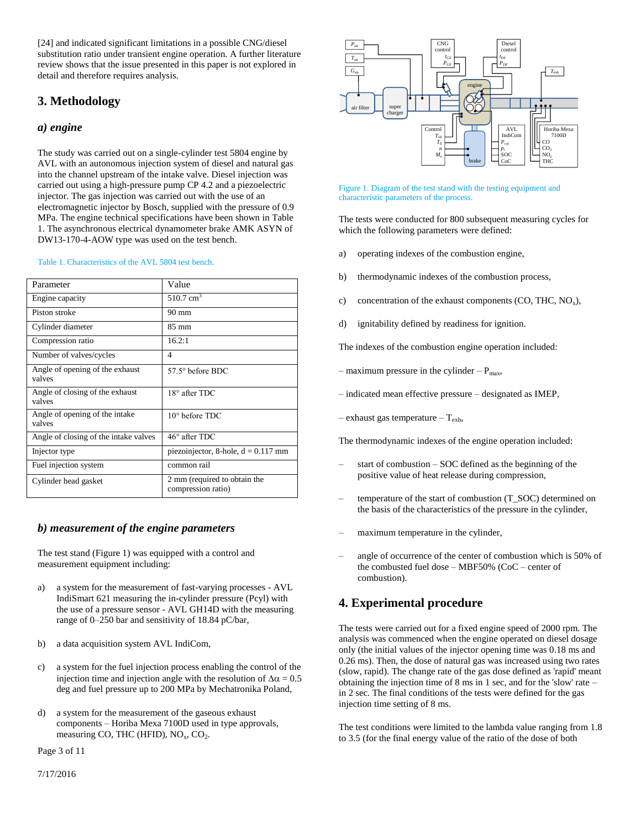[24] and indicated significant limitations in a possible CNG/diesel substitution ratio under transient engine operation. A further literature review shows that the issue presented in this paper is not explored in detail and therefore requires analysis.

# **3. Methodology**

### *a) engine*

The study was carried out on a single-cylinder test 5804 engine by AVL with an autonomous injection system of diesel and natural gas into the channel upstream of the intake valve. Diesel injection was carried out using a high-pressure pump CP 4.2 and a piezoelectric injector. The gas injection was carried out with the use of an electromagnetic injector by Bosch, supplied with the pressure of 0.9 MPa. The engine technical specifications have been shown in Table 1. The asynchronous electrical dynamometer brake AMK ASYN of DW13-170-4-AOW type was used on the test bench.

#### Table 1. Characteristics of the AVL 5804 test bench.

| Parameter                                 | Value                                              |
|-------------------------------------------|----------------------------------------------------|
| Engine capacity                           | $510.7 \text{ cm}^3$                               |
| Piston stroke                             | $90 \text{ mm}$                                    |
| Cylinder diameter                         | $85 \text{ mm}$                                    |
| Compression ratio                         | 16.2:1                                             |
| Number of valves/cycles                   | 4                                                  |
| Angle of opening of the exhaust<br>valves | $57.5^\circ$ before BDC                            |
| Angle of closing of the exhaust<br>valves | 18° after TDC                                      |
| Angle of opening of the intake<br>valves  | $10^{\circ}$ before TDC                            |
| Angle of closing of the intake valves     | $46^\circ$ after TDC                               |
| Injector type                             | piezoinjector, 8-hole, $d = 0.117$ mm              |
| Fuel injection system                     | common rail                                        |
| Cylinder head gasket                      | 2 mm (required to obtain the<br>compression ratio) |

#### *b) measurement of the engine parameters*

The test stand (Figure 1) was equipped with a control and measurement equipment including:

- a) a system for the measurement of fast-varying processes AVL IndiSmart 621 measuring the in-cylinder pressure (Pcyl) with the use of a pressure sensor - AVL GH14D with the measuring range of 0–250 bar and sensitivity of 18.84 pC/bar,
- b) a data acquisition system AVL IndiCom,
- c) a system for the fuel injection process enabling the control of the injection time and injection angle with the resolution of  $\Delta \alpha = 0.5$ deg and fuel pressure up to 200 MPa by Mechatronika Poland,
- d) a system for the measurement of the gaseous exhaust components – Horiba Mexa 7100D used in type approvals, measuring CO, THC (HFID),  $NO_x$ ,  $CO_2$ .

Page 3 of 11



#### Figure 1. Diagram of the test stand with the testing equipment and characteristic parameters of the process.

The tests were conducted for 800 subsequent measuring cycles for which the following parameters were defined:

- a) operating indexes of the combustion engine,
- b) thermodynamic indexes of the combustion process,
- c) concentration of the exhaust components  $(CO, THC, NO<sub>x</sub>)$ ,
- d) ignitability defined by readiness for ignition.

The indexes of the combustion engine operation included:

- maximum pressure in the cylinder  $P_{\text{max}}$ ,
- indicated mean effective pressure designated as IMEP,
- exhaust gas temperature  $T_{exh}$ ,

The thermodynamic indexes of the engine operation included:

- start of combustion SOC defined as the beginning of the positive value of heat release during compression,
- temperature of the start of combustion (T\_SOC) determined on the basis of the characteristics of the pressure in the cylinder,
- maximum temperature in the cylinder,
- angle of occurrence of the center of combustion which is 50% of the combusted fuel dose – MBF50% (CoC – center of combustion).

### **4. Experimental procedure**

The tests were carried out for a fixed engine speed of 2000 rpm. The analysis was commenced when the engine operated on diesel dosage only (the initial values of the injector opening time was 0.18 ms and 0.26 ms). Then, the dose of natural gas was increased using two rates (slow, rapid). The change rate of the gas dose defined as 'rapid' meant obtaining the injection time of 8 ms in 1 sec, and for the 'slow' rate – in 2 sec. The final conditions of the tests were defined for the gas injection time setting of 8 ms.

The test conditions were limited to the lambda value ranging from 1.8 to 3.5 (for the final energy value of the ratio of the dose of both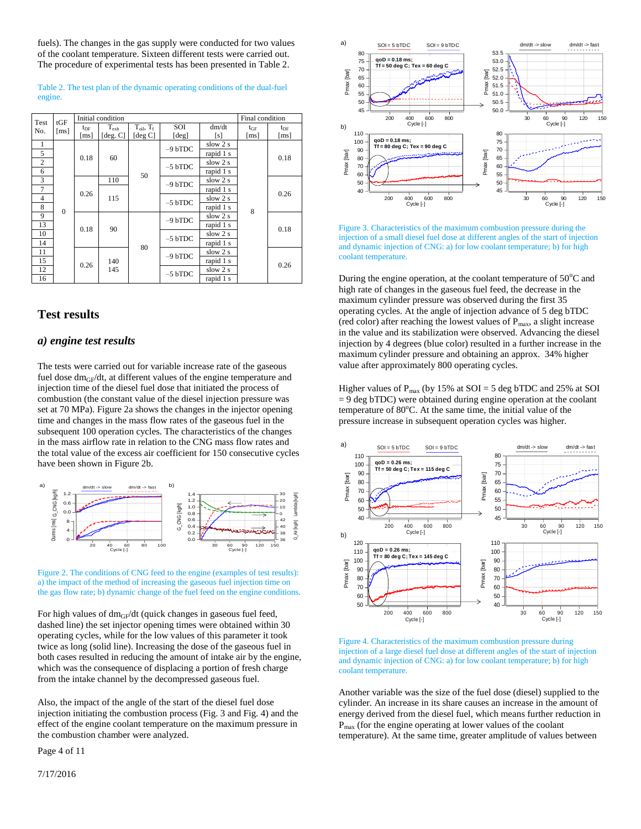fuels). The changes in the gas supply were conducted for two values of the coolant temperature. Sixteen different tests were carried out. The procedure of experimental tests has been presented in Table 2.

Table 2. The test plan of the dynamic operating conditions of the dual-fuel engine.

| Test           | Initial condition<br>tGF |                    |               |                          | Final condition |           |          |                           |
|----------------|--------------------------|--------------------|---------------|--------------------------|-----------------|-----------|----------|---------------------------|
| No.            | $\lceil ms \rceil$       | $t_{DF}$           | $T_{\rm exh}$ | $T_{\text{oil}}$ , $T_f$ | SOI             | dm/dt     | $t_{GF}$ | $t_{DF}$                  |
|                |                          | $\lceil ms \rceil$ | [deg. C]      | [deg $C$ ]               | [deg]           | [s]       | [ms]     | $\lceil \text{ms} \rceil$ |
| 1              |                          |                    |               |                          | $-9 b TDC$      | slow $2s$ |          |                           |
| 5              |                          | 0.18               | 60            |                          |                 | rapid 1 s |          | 0.18                      |
| $\overline{c}$ |                          |                    |               |                          | $-5$ bTDC       | slow $2s$ |          |                           |
| 6              |                          |                    |               | 50                       |                 | rapid 1 s |          |                           |
| 3              |                          |                    | 110           |                          | $-9 b TDC$      | slow $2s$ |          |                           |
| $\overline{7}$ |                          | 0.26               |               |                          |                 | rapid 1 s |          | 0.26                      |
| $\overline{4}$ |                          |                    | 115           |                          | $-5$ bTDC       | slow $2s$ |          |                           |
| 8              | $\mathbf{0}$             |                    |               |                          |                 | rapid 1 s | 8        |                           |
| 9              |                          |                    |               |                          | $-9 b TDC$      | slow $2s$ |          |                           |
| 13             |                          | 0.18               | 90            |                          |                 | rapid 1 s |          | 0.18                      |
| 10             |                          |                    |               |                          | $-5$ bTDC       | slow $2s$ |          |                           |
| 14             |                          |                    |               | 80                       |                 | rapid 1 s |          |                           |
| 11             |                          |                    |               |                          | $-9 b TDC$      | slow $2s$ |          |                           |
| 15             |                          | 0.26               | 140           |                          |                 | rapid 1 s |          | 0.26                      |
| 12             |                          |                    | 145           |                          | $-5$ bTDC       | slow $2s$ |          |                           |
| 16             |                          |                    |               |                          |                 | rapid 1 s |          |                           |

#### **Test results**

#### *a) engine test results*

The tests were carried out for variable increase rate of the gaseous fuel dose  $dm<sub>GF</sub>/dt$ , at different values of the engine temperature and injection time of the diesel fuel dose that initiated the process of combustion (the constant value of the diesel injection pressure was set at 70 MPa). Figure 2a shows the changes in the injector opening time and changes in the mass flow rates of the gaseous fuel in the subsequent 100 operation cycles. The characteristics of the changes in the mass airflow rate in relation to the CNG mass flow rates and the total value of the excess air coefficient for 150 consecutive cycles have been shown in Figure 2b.



Figure 2. The conditions of CNG feed to the engine (examples of test results): a) the impact of the method of increasing the gaseous fuel injection time on the gas flow rate; b) dynamic change of the fuel feed on the engine conditions.

For high values of  $dm_{GF}/dt$  (quick changes in gaseous fuel feed, dashed line) the set injector opening times were obtained within 30 operating cycles, while for the low values of this parameter it took twice as long (solid line). Increasing the dose of the gaseous fuel in both cases resulted in reducing the amount of intake air by the engine, which was the consequence of displacing a portion of fresh charge from the intake channel by the decompressed gaseous fuel.

Also, the impact of the angle of the start of the diesel fuel dose injection initiating the combustion process (Fig. 3 and Fig. 4) and the effect of the engine coolant temperature on the maximum pressure in the combustion chamber were analyzed.

Page 4 of 11



Figure 3. Characteristics of the maximum combustion pressure during the injection of a small diesel fuel dose at different angles of the start of injection and dynamic injection of CNG: a) for low coolant temperature; b) for high coolant temperature.

During the engine operation, at the coolant temperature of  $50^{\circ}$ C and high rate of changes in the gaseous fuel feed, the decrease in the maximum cylinder pressure was observed during the first 35 operating cycles. At the angle of injection advance of 5 deg bTDC (red color) after reaching the lowest values of  $P_{max}$ , a slight increase in the value and its stabilization were observed. Advancing the diesel injection by 4 degrees (blue color) resulted in a further increase in the maximum cylinder pressure and obtaining an approx. 34% higher value after approximately 800 operating cycles.

Higher values of  $P_{max}$  (by 15% at SOI = 5 deg bTDC and 25% at SOI  $= 9$  deg bTDC) were obtained during engine operation at the coolant temperature of 80°C. At the same time, the initial value of the pressure increase in subsequent operation cycles was higher.



Figure 4. Characteristics of the maximum combustion pressure during injection of a large diesel fuel dose at different angles of the start of injection and dynamic injection of CNG: a) for low coolant temperature; b) for high coolant temperature.

Another variable was the size of the fuel dose (diesel) supplied to the cylinder. An increase in its share causes an increase in the amount of energy derived from the diesel fuel, which means further reduction in Pmax (for the engine operating at lower values of the coolant temperature). At the same time, greater amplitude of values between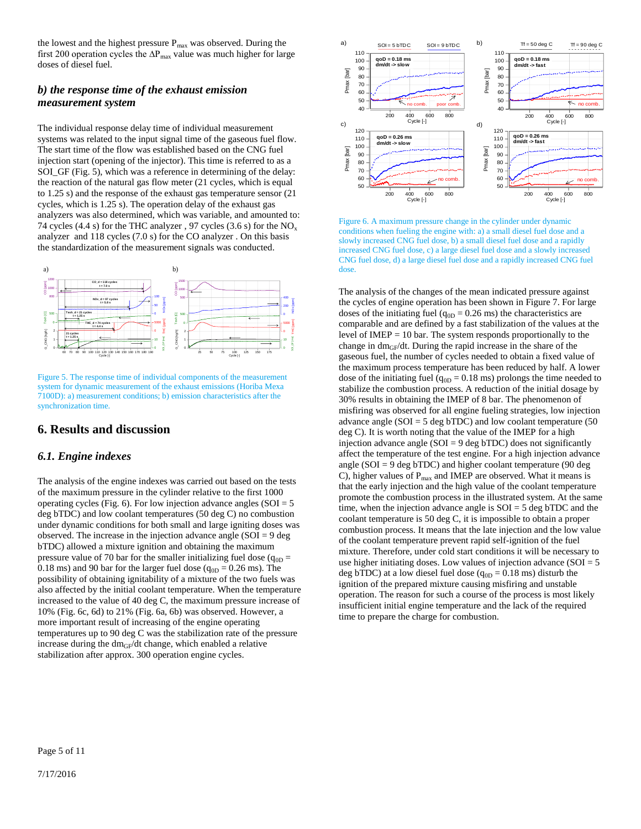the lowest and the highest pressure  $P_{\text{max}}$  was observed. During the first 200 operation cycles the  $\Delta P_{\text{max}}$  value was much higher for large doses of diesel fuel.

#### *b) the response time of the exhaust emission measurement system*

The individual response delay time of individual measurement systems was related to the input signal time of the gaseous fuel flow. The start time of the flow was established based on the CNG fuel injection start (opening of the injector). This time is referred to as a SOI\_GF (Fig. 5), which was a reference in determining of the delay: the reaction of the natural gas flow meter (21 cycles, which is equal to 1.25 s) and the response of the exhaust gas temperature sensor (21 cycles, which is 1.25 s). The operation delay of the exhaust gas analyzers was also determined, which was variable, and amounted to: 74 cycles (4.4 s) for the THC analyzer, 97 cycles (3.6 s) for the  $NO_x$ analyzer and 118 cycles (7.0 s) for the CO analyzer . On this basis the standardization of the measurement signals was conducted.



Figure 5. The response time of individual components of the measurement system for dynamic measurement of the exhaust emissions (Horiba Mexa 7100D): a) measurement conditions; b) emission characteristics after the synchronization time.

#### **6. Results and discussion**

#### *6.1. Engine indexes*

The analysis of the engine indexes was carried out based on the tests of the maximum pressure in the cylinder relative to the first 1000 operating cycles (Fig. 6). For low injection advance angles (SOI =  $5$ ) deg bTDC) and low coolant temperatures (50 deg C) no combustion under dynamic conditions for both small and large igniting doses was observed. The increase in the injection advance angle  $(SOI = 9$  deg bTDC) allowed a mixture ignition and obtaining the maximum pressure value of 70 bar for the smaller initializing fuel dose  $(q_{0D} =$ 0.18 ms) and 90 bar for the larger fuel dose ( $q_{0D} = 0.26$  ms). The possibility of obtaining ignitability of a mixture of the two fuels was also affected by the initial coolant temperature. When the temperature increased to the value of 40 deg C, the maximum pressure increase of 10% (Fig. 6c, 6d) to 21% (Fig. 6a, 6b) was observed. However, a more important result of increasing of the engine operating temperatures up to 90 deg C was the stabilization rate of the pressure increase during the dm $_{GF}/dt$  change, which enabled a relative stabilization after approx. 300 operation engine cycles.



Figure 6. A maximum pressure change in the cylinder under dynamic conditions when fueling the engine with: a) a small diesel fuel dose and a slowly increased CNG fuel dose, b) a small diesel fuel dose and a rapidly increased CNG fuel dose, c) a large diesel fuel dose and a slowly increased CNG fuel dose, d) a large diesel fuel dose and a rapidly increased CNG fuel dose.

The analysis of the changes of the mean indicated pressure against the cycles of engine operation has been shown in Figure 7. For large doses of the initiating fuel ( $q_{0D} = 0.26$  ms) the characteristics are comparable and are defined by a fast stabilization of the values at the level of IMEP = 10 bar. The system responds proportionally to the change in dm $_{GF}/dt$ . During the rapid increase in the share of the gaseous fuel, the number of cycles needed to obtain a fixed value of the maximum process temperature has been reduced by half. A lower dose of the initiating fuel ( $q_{0D} = 0.18$  ms) prolongs the time needed to stabilize the combustion process. A reduction of the initial dosage by 30% results in obtaining the IMEP of 8 bar. The phenomenon of misfiring was observed for all engine fueling strategies, low injection advance angle  $(SOI = 5$  deg bTDC) and low coolant temperature (50 deg C). It is worth noting that the value of the IMEP for a high injection advance angle (SOI = 9 deg bTDC) does not significantly affect the temperature of the test engine. For a high injection advance angle (SOI = 9 deg bTDC) and higher coolant temperature (90 deg C), higher values of  $P_{max}$  and IMEP are observed. What it means is that the early injection and the high value of the coolant temperature promote the combustion process in the illustrated system. At the same time, when the injection advance angle is SOI = 5 deg bTDC and the coolant temperature is 50 deg C, it is impossible to obtain a proper combustion process. It means that the late injection and the low value of the coolant temperature prevent rapid self-ignition of the fuel mixture. Therefore, under cold start conditions it will be necessary to use higher initiating doses. Low values of injection advance  $(SOI = 5$ deg bTDC) at a low diesel fuel dose ( $q_{0D} = 0.18$  ms) disturb the ignition of the prepared mixture causing misfiring and unstable operation. The reason for such a course of the process is most likely insufficient initial engine temperature and the lack of the required time to prepare the charge for combustion.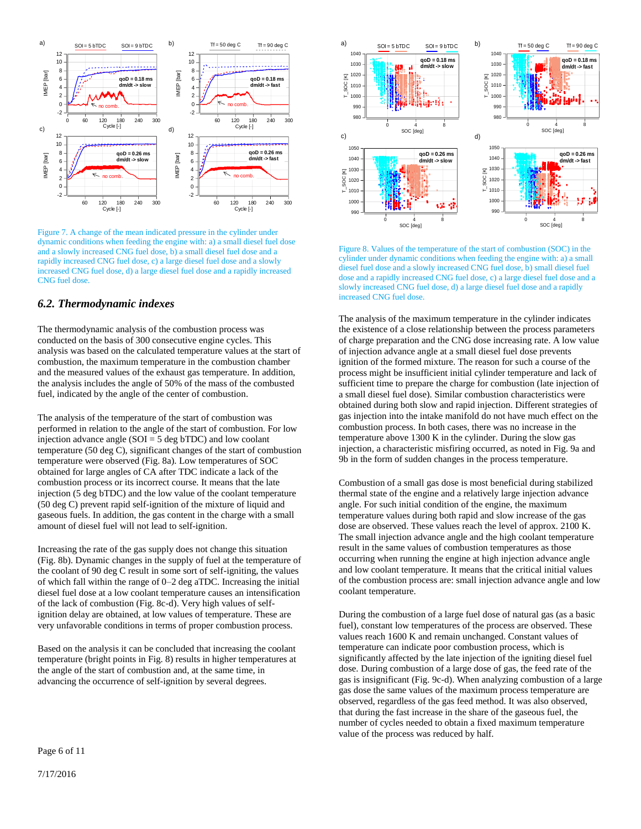

Figure 7. A change of the mean indicated pressure in the cylinder under dynamic conditions when feeding the engine with: a) a small diesel fuel dose and a slowly increased CNG fuel dose, b) a small diesel fuel dose and a rapidly increased CNG fuel dose, c) a large diesel fuel dose and a slowly increased CNG fuel dose, d) a large diesel fuel dose and a rapidly increased CNG fuel dose.

#### *6.2. Thermodynamic indexes*

The thermodynamic analysis of the combustion process was conducted on the basis of 300 consecutive engine cycles. This analysis was based on the calculated temperature values at the start of combustion, the maximum temperature in the combustion chamber and the measured values of the exhaust gas temperature. In addition, the analysis includes the angle of 50% of the mass of the combusted fuel, indicated by the angle of the center of combustion.

The analysis of the temperature of the start of combustion was performed in relation to the angle of the start of combustion. For low injection advance angle  $(SOI = 5$  deg bTDC) and low coolant temperature (50 deg C), significant changes of the start of combustion temperature were observed (Fig. 8a). Low temperatures of SOC obtained for large angles of CA after TDC indicate a lack of the combustion process or its incorrect course. It means that the late injection (5 deg bTDC) and the low value of the coolant temperature (50 deg C) prevent rapid self-ignition of the mixture of liquid and gaseous fuels. In addition, the gas content in the charge with a small amount of diesel fuel will not lead to self-ignition.

Increasing the rate of the gas supply does not change this situation (Fig. 8b). Dynamic changes in the supply of fuel at the temperature of the coolant of 90 deg C result in some sort of self-igniting, the values of which fall within the range of 0–2 deg aTDC. Increasing the initial diesel fuel dose at a low coolant temperature causes an intensification of the lack of combustion (Fig. 8c-d). Very high values of selfignition delay are obtained, at low values of temperature. These are very unfavorable conditions in terms of proper combustion process.

Based on the analysis it can be concluded that increasing the coolant temperature (bright points in Fig. 8) results in higher temperatures at the angle of the start of combustion and, at the same time, in advancing the occurrence of self-ignition by several degrees.



Figure 8. Values of the temperature of the start of combustion (SOC) in the cylinder under dynamic conditions when feeding the engine with: a) a small diesel fuel dose and a slowly increased CNG fuel dose, b) small diesel fuel dose and a rapidly increased CNG fuel dose, c) a large diesel fuel dose and a slowly increased CNG fuel dose, d) a large diesel fuel dose and a rapidly increased CNG fuel dose.

The analysis of the maximum temperature in the cylinder indicates the existence of a close relationship between the process parameters of charge preparation and the CNG dose increasing rate. A low value of injection advance angle at a small diesel fuel dose prevents ignition of the formed mixture. The reason for such a course of the process might be insufficient initial cylinder temperature and lack of sufficient time to prepare the charge for combustion (late injection of a small diesel fuel dose). Similar combustion characteristics were obtained during both slow and rapid injection. Different strategies of gas injection into the intake manifold do not have much effect on the combustion process. In both cases, there was no increase in the temperature above 1300 K in the cylinder. During the slow gas injection, a characteristic misfiring occurred, as noted in Fig. 9a and 9b in the form of sudden changes in the process temperature.

Combustion of a small gas dose is most beneficial during stabilized thermal state of the engine and a relatively large injection advance angle. For such initial condition of the engine, the maximum temperature values during both rapid and slow increase of the gas dose are observed. These values reach the level of approx. 2100 K. The small injection advance angle and the high coolant temperature result in the same values of combustion temperatures as those occurring when running the engine at high injection advance angle and low coolant temperature. It means that the critical initial values of the combustion process are: small injection advance angle and low coolant temperature.

During the combustion of a large fuel dose of natural gas (as a basic fuel), constant low temperatures of the process are observed. These values reach 1600 K and remain unchanged. Constant values of temperature can indicate poor combustion process, which is significantly affected by the late injection of the igniting diesel fuel dose. During combustion of a large dose of gas, the feed rate of the gas is insignificant (Fig. 9c-d). When analyzing combustion of a large gas dose the same values of the maximum process temperature are observed, regardless of the gas feed method. It was also observed, that during the fast increase in the share of the gaseous fuel, the number of cycles needed to obtain a fixed maximum temperature value of the process was reduced by half.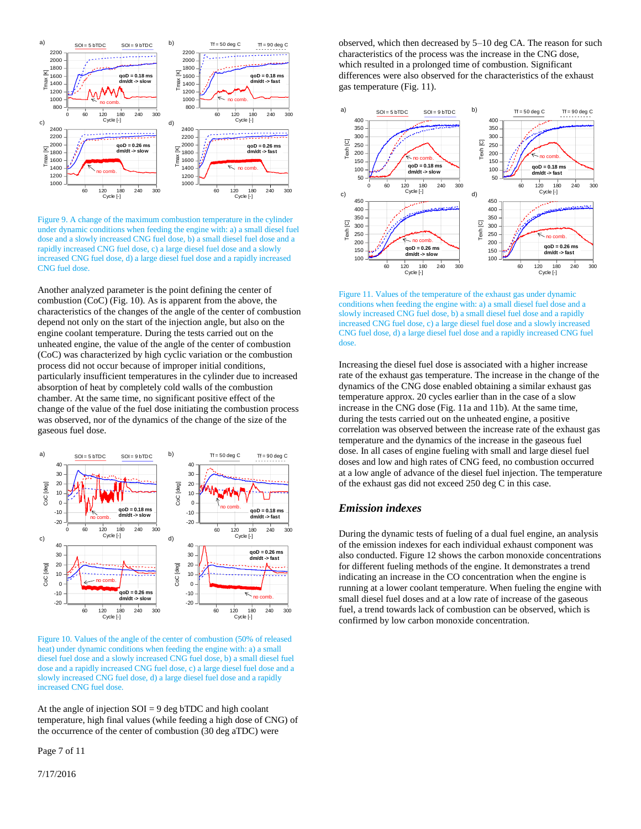

Figure 9. A change of the maximum combustion temperature in the cylinder under dynamic conditions when feeding the engine with: a) a small diesel fuel dose and a slowly increased CNG fuel dose, b) a small diesel fuel dose and a rapidly increased CNG fuel dose, c) a large diesel fuel dose and a slowly increased CNG fuel dose, d) a large diesel fuel dose and a rapidly increased CNG fuel dose.

Another analyzed parameter is the point defining the center of combustion (CoC) (Fig. 10). As is apparent from the above, the characteristics of the changes of the angle of the center of combustion depend not only on the start of the injection angle, but also on the engine coolant temperature. During the tests carried out on the unheated engine, the value of the angle of the center of combustion (CoC) was characterized by high cyclic variation or the combustion process did not occur because of improper initial conditions, particularly insufficient temperatures in the cylinder due to increased absorption of heat by completely cold walls of the combustion chamber. At the same time, no significant positive effect of the change of the value of the fuel dose initiating the combustion process was observed, nor of the dynamics of the change of the size of the gaseous fuel dose.



Figure 10. Values of the angle of the center of combustion (50% of released heat) under dynamic conditions when feeding the engine with: a) a small diesel fuel dose and a slowly increased CNG fuel dose, b) a small diesel fuel dose and a rapidly increased CNG fuel dose, c) a large diesel fuel dose and a slowly increased CNG fuel dose, d) a large diesel fuel dose and a rapidly increased CNG fuel dose.

At the angle of injection  $SOI = 9$  deg bTDC and high coolant temperature, high final values (while feeding a high dose of CNG) of the occurrence of the center of combustion (30 deg aTDC) were

Page 7 of 11

7/17/2016

observed, which then decreased by 5–10 deg CA. The reason for such characteristics of the process was the increase in the CNG dose, which resulted in a prolonged time of combustion. Significant differences were also observed for the characteristics of the exhaust gas temperature (Fig. 11).



Figure 11. Values of the temperature of the exhaust gas under dynamic conditions when feeding the engine with: a) a small diesel fuel dose and a slowly increased CNG fuel dose, b) a small diesel fuel dose and a rapidly increased CNG fuel dose, c) a large diesel fuel dose and a slowly increased CNG fuel dose, d) a large diesel fuel dose and a rapidly increased CNG fuel dose.

Increasing the diesel fuel dose is associated with a higher increase rate of the exhaust gas temperature. The increase in the change of the dynamics of the CNG dose enabled obtaining a similar exhaust gas temperature approx. 20 cycles earlier than in the case of a slow increase in the CNG dose (Fig. 11a and 11b). At the same time, during the tests carried out on the unheated engine, a positive correlation was observed between the increase rate of the exhaust gas temperature and the dynamics of the increase in the gaseous fuel dose. In all cases of engine fueling with small and large diesel fuel doses and low and high rates of CNG feed, no combustion occurred at a low angle of advance of the diesel fuel injection. The temperature of the exhaust gas did not exceed 250 deg C in this case.

#### *Emission indexes*

During the dynamic tests of fueling of a dual fuel engine, an analysis of the emission indexes for each individual exhaust component was also conducted. Figure 12 shows the carbon monoxide concentrations for different fueling methods of the engine. It demonstrates a trend indicating an increase in the CO concentration when the engine is running at a lower coolant temperature. When fueling the engine with small diesel fuel doses and at a low rate of increase of the gaseous fuel, a trend towards lack of combustion can be observed, which is confirmed by low carbon monoxide concentration.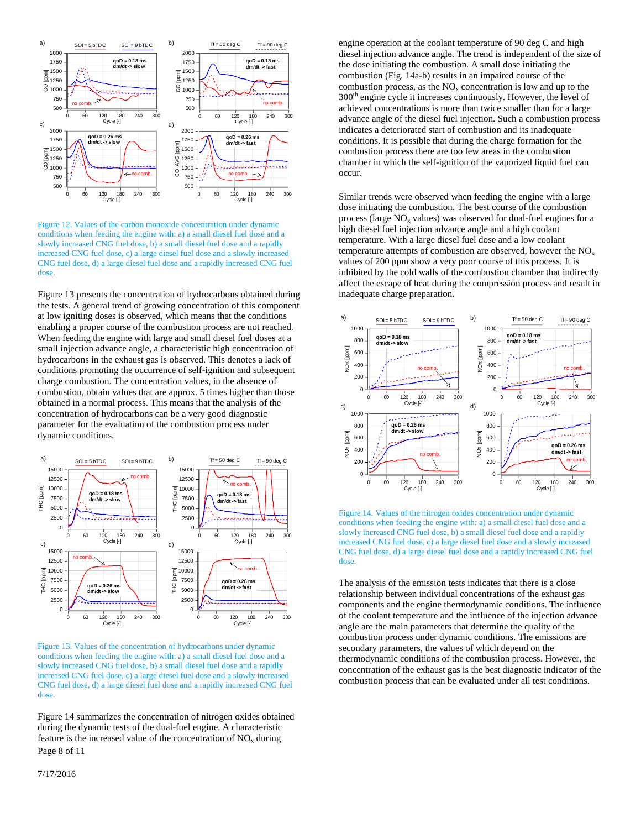

Figure 12. Values of the carbon monoxide concentration under dynamic conditions when feeding the engine with: a) a small diesel fuel dose and a slowly increased CNG fuel dose, b) a small diesel fuel dose and a rapidly increased CNG fuel dose, c) a large diesel fuel dose and a slowly increased CNG fuel dose, d) a large diesel fuel dose and a rapidly increased CNG fuel dose.

Figure 13 presents the concentration of hydrocarbons obtained during the tests. A general trend of growing concentration of this component at low igniting doses is observed, which means that the conditions enabling a proper course of the combustion process are not reached. When feeding the engine with large and small diesel fuel doses at a small injection advance angle, a characteristic high concentration of hydrocarbons in the exhaust gas is observed. This denotes a lack of conditions promoting the occurrence of self-ignition and subsequent charge combustion. The concentration values, in the absence of combustion, obtain values that are approx. 5 times higher than those obtained in a normal process. This means that the analysis of the concentration of hydrocarbons can be a very good diagnostic parameter for the evaluation of the combustion process under dynamic conditions.



Figure 13. Values of the concentration of hydrocarbons under dynamic conditions when feeding the engine with: a) a small diesel fuel dose and a slowly increased CNG fuel dose, b) a small diesel fuel dose and a rapidly increased CNG fuel dose, c) a large diesel fuel dose and a slowly increased CNG fuel dose, d) a large diesel fuel dose and a rapidly increased CNG fuel dose.

Page 8 of 11 Figure 14 summarizes the concentration of nitrogen oxides obtained during the dynamic tests of the dual-fuel engine. A characteristic feature is the increased value of the concentration of  $NO<sub>x</sub>$  during

engine operation at the coolant temperature of 90 deg C and high diesel injection advance angle. The trend is independent of the size of the dose initiating the combustion. A small dose initiating the combustion (Fig. 14a-b) results in an impaired course of the combustion process, as the  $NO<sub>x</sub>$  concentration is low and up to the 300<sup>th</sup> engine cycle it increases continuously. However, the level of achieved concentrations is more than twice smaller than for a large advance angle of the diesel fuel injection. Such a combustion process indicates a deteriorated start of combustion and its inadequate conditions. It is possible that during the charge formation for the combustion process there are too few areas in the combustion chamber in which the self-ignition of the vaporized liquid fuel can occur.

Similar trends were observed when feeding the engine with a large dose initiating the combustion. The best course of the combustion process (large  $NO<sub>x</sub>$  values) was observed for dual-fuel engines for a high diesel fuel injection advance angle and a high coolant temperature. With a large diesel fuel dose and a low coolant temperature attempts of combustion are observed, however the  $NO<sub>x</sub>$ values of 200 ppm show a very poor course of this process. It is inhibited by the cold walls of the combustion chamber that indirectly affect the escape of heat during the compression process and result in inadequate charge preparation.



Figure 14. Values of the nitrogen oxides concentration under dynamic conditions when feeding the engine with: a) a small diesel fuel dose and a slowly increased CNG fuel dose, b) a small diesel fuel dose and a rapidly increased CNG fuel dose, c) a large diesel fuel dose and a slowly increased CNG fuel dose, d) a large diesel fuel dose and a rapidly increased CNG fuel dose.

The analysis of the emission tests indicates that there is a close relationship between individual concentrations of the exhaust gas components and the engine thermodynamic conditions. The influence of the coolant temperature and the influence of the injection advance angle are the main parameters that determine the quality of the combustion process under dynamic conditions. The emissions are secondary parameters, the values of which depend on the thermodynamic conditions of the combustion process. However, the concentration of the exhaust gas is the best diagnostic indicator of the combustion process that can be evaluated under all test conditions.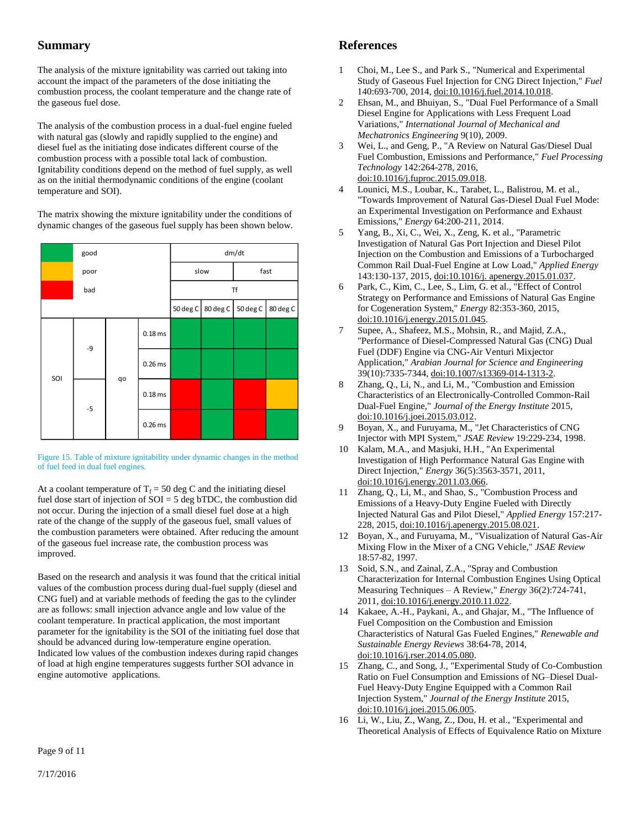### **Summary**

The analysis of the mixture ignitability was carried out taking into account the impact of the parameters of the dose initiating the combustion process, the coolant temperature and the change rate of the gaseous fuel dose.

The analysis of the combustion process in a dual-fuel engine fueled with natural gas (slowly and rapidly supplied to the engine) and diesel fuel as the initiating dose indicates different course of the combustion process with a possible total lack of combustion. Ignitability conditions depend on the method of fuel supply, as well as on the initial thermodynamic conditions of the engine (coolant temperature and SOI).

The matrix showing the mixture ignitability under the conditions of dynamic changes of the gaseous fuel supply has been shown below.

|     | good |    |           | dm/dt    |          |          |      |  |
|-----|------|----|-----------|----------|----------|----------|------|--|
|     | poor |    |           | slow     |          |          | fast |  |
|     | bad  |    |           | Tf       |          |          |      |  |
|     |      |    | 50 deg C  | 80 deg C | 50 deg C | 80 deg C |      |  |
| SOI | -9   | qo | $0.18$ ms |          |          |          |      |  |
|     |      |    | $0.26$ ms |          |          |          |      |  |
|     | $-5$ |    | $0.18$ ms |          |          |          |      |  |
|     |      |    | $0.26$ ms |          |          |          |      |  |

Figure 15. Table of mixture ignitability under dynamic changes in the method of fuel feed in dual fuel engines.

At a coolant temperature of  $T_f = 50$  deg C and the initiating diesel fuel dose start of injection of  $SOI = 5$  deg bTDC, the combustion did not occur. During the injection of a small diesel fuel dose at a high rate of the change of the supply of the gaseous fuel, small values of the combustion parameters were obtained. After reducing the amount of the gaseous fuel increase rate, the combustion process was improved.

Based on the research and analysis it was found that the critical initial values of the combustion process during dual-fuel supply (diesel and CNG fuel) and at variable methods of feeding the gas to the cylinder are as follows: small injection advance angle and low value of the coolant temperature. In practical application, the most important parameter for the ignitability is the SOI of the initiating fuel dose that should be advanced during low-temperature engine operation. Indicated low values of the combustion indexes during rapid changes of load at high engine temperatures suggests further SOI advance in engine automotive applications.

### **References**

- 1 Choi, M., Lee S., and Park S., "Numerical and Experimental Study of Gaseous Fuel Injection for CNG Direct Injection," *Fuel* 140:693-700, 2014, doi:10.1016/j.fuel.2014.10.018.
- 2 Ehsan, M., and Bhuiyan, S., "Dual Fuel Performance of a Small Diesel Engine for Applications with Less Frequent Load Variations," *International Journal of Mechanical and Mechatronics Engineering* 9(10), 2009.
- 3 Wei, L., and Geng, P., "A Review on Natural Gas/Diesel Dual Fuel Combustion, Emissions and Performance," *Fuel Processing Technology* 142:264-278, 2016, doi:10.1016/j.fuproc.2015.09.018.
- 4 Lounici, M.S., Loubar, K., Tarabet, L., Balistrou, M. et al., "Towards Improvement of Natural Gas-Diesel Dual Fuel Mode: an Experimental Investigation on Performance and Exhaust Emissions," *Energy* 64:200-211, 2014.
- 5 Yang, B., Xi, C., Wei, X., Zeng, K. et al., "Parametric Investigation of Natural Gas Port Injection and Diesel Pilot Injection on the Combustion and Emissions of a Turbocharged Common Rail Dual-Fuel Engine at Low Load," *Applied Energy* 143:130-137, 2015, doi:10.1016/j. apenergy.2015.01.037.
- 6 Park, C., Kim, C., Lee, S., Lim, G. et al., "Effect of Control Strategy on Performance and Emissions of Natural Gas Engine for Cogeneration System," *Energy* 82:353-360, 2015, doi:10.1016/j.energy.2015.01.045.
- 7 Supee, A., Shafeez, M.S., Mohsin, R., and Majid, Z.A., "Performance of Diesel-Compressed Natural Gas (CNG) Dual Fuel (DDF) Engine via CNG-Air Venturi Mixjector Application," *Arabian Journal for Science and Engineering* 39(10):7335-7344, doi:10.1007/s13369-014-1313-2.
- 8 Zhang, Q., Li, N., and Li, M., "Combustion and Emission Characteristics of an Electronically-Controlled Common-Rail Dual-Fuel Engine," *Journal of the Energy Institute* 2015, doi:10.1016/j.joei.2015.03.012.
- 9 Boyan, X., and Furuyama, M., "Jet Characteristics of CNG Injector with MPI System," *JSAE Review* 19:229-234, 1998.
- 10 Kalam, M.A., and Masjuki, H.H., "An Experimental Investigation of High Performance Natural Gas Engine with Direct Injection," *Energy* 36(5):3563-3571, 2011, doi:10.1016/j.energy.2011.03.066.
- 11 Zhang, Q., Li, M., and Shao, S., "Combustion Process and Emissions of a Heavy-Duty Engine Fueled with Directly Injected Natural Gas and Pilot Diesel," *Applied Energy* 157:217- 228, 2015, doi:10.1016/j.apenergy.2015.08.021.
- 12 Boyan, X., and Furuyama, M., "Visualization of Natural Gas-Air Mixing Flow in the Mixer of a CNG Vehicle," *JSAE Review* 18:57-82, 1997.
- 13 Soid, S.N., and Zainal, Z.A., "Spray and Combustion Characterization for Internal Combustion Engines Using Optical Measuring Techniques – A Review," *Energy* 36(2):724-741, 2011, doi:10.1016/j.energy.2010.11.022.
- 14 Kakaee, A.-H., Paykani, A., and Ghajar, M., "The Influence of Fuel Composition on the Combustion and Emission Characteristics of Natural Gas Fueled Engines," *Renewable and Sustainable Energy Reviews* 38:64-78, 2014, doi:10.1016/j.rser.2014.05.080.
- 15 Zhang, C., and Song, J., "Experimental Study of Co-Combustion Ratio on Fuel Consumption and Emissions of NG–Diesel Dual-Fuel Heavy-Duty Engine Equipped with a Common Rail Injection System," *Journal of the Energy Institute* 2015, doi:10.1016/j.joei.2015.06.005.
- 16 Li, W., Liu, Z., Wang, Z., Dou, H. et al., "Experimental and Theoretical Analysis of Effects of Equivalence Ratio on Mixture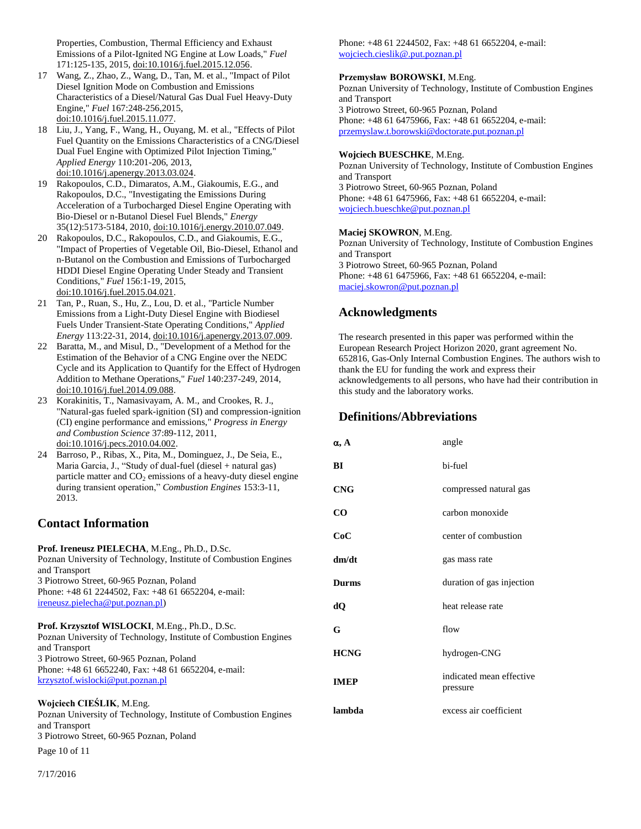Properties, Combustion, Thermal Efficiency and Exhaust Emissions of a Pilot-Ignited NG Engine at Low Loads," *Fuel* 171:125-135, 2015, doi:10.1016/j.fuel.2015.12.056.

- 17 Wang, Z., Zhao, Z., Wang, D., Tan, M. et al., "Impact of Pilot Diesel Ignition Mode on Combustion and Emissions Characteristics of a Diesel/Natural Gas Dual Fuel Heavy-Duty Engine," *Fuel* 167:248-256,2015, doi:10.1016/j.fuel.2015.11.077.
- 18 Liu, J., Yang, F., Wang, H., Ouyang, M. et al., "Effects of Pilot Fuel Quantity on the Emissions Characteristics of a CNG/Diesel Dual Fuel Engine with Optimized Pilot Injection Timing," *Applied Energy* 110:201-206, 2013, doi:10.1016/j.apenergy.2013.03.024.
- 19 Rakopoulos, C.D., Dimaratos, A.M., Giakoumis, E.G., and Rakopoulos, D.C., "Investigating the Emissions During Acceleration of a Turbocharged Diesel Engine Operating with Bio-Diesel or n-Butanol Diesel Fuel Blends," *Energy* 35(12):5173-5184, 2010, doi:10.1016/j.energy.2010.07.049.
- 20 Rakopoulos, D.C., Rakopoulos, C.D., and Giakoumis, E.G., "Impact of Properties of Vegetable Oil, Bio-Diesel, Ethanol and n-Butanol on the Combustion and Emissions of Turbocharged HDDI Diesel Engine Operating Under Steady and Transient Conditions," *Fuel* 156:1-19, 2015, doi:10.1016/j.fuel.2015.04.021.
- 21 Tan, P., Ruan, S., Hu, Z., Lou, D. et al., "Particle Number Emissions from a Light-Duty Diesel Engine with Biodiesel Fuels Under Transient-State Operating Conditions," *Applied Energy* 113:22-31, 2014, doi:10.1016/j.apenergy.2013.07.009.
- 22 Baratta, M., and Misul, D., "Development of a Method for the Estimation of the Behavior of a CNG Engine over the NEDC Cycle and its Application to Quantify for the Effect of Hydrogen Addition to Methane Operations," *Fuel* 140:237-249, 2014, doi:10.1016/j.fuel.2014.09.088.
- 23 Korakinitis, T., Namasivayam, A. M., and Crookes, R. J., "Natural-gas fueled spark-ignition (SI) and compression-ignition (CI) engine performance and emissions," *Progress in Energy and Combustion Science* 37:89-112, 2011, doi:10.1016/j.pecs.2010.04.002.
- 24 Barroso, P., Ribas, X., Pita, M., Dominguez, J., De Seia, E., Maria Garcia, J., "Study of dual-fuel (diesel + natural gas) particle matter and  $CO<sub>2</sub>$  emissions of a heavy-duty diesel engine during transient operation," *Combustion Engines* 153:3-11, 2013.

# **Contact Information**

**Prof. Ireneusz PIELECHA**, M.Eng., Ph.D., D.Sc. Poznan University of Technology, Institute of Combustion Engines and Transport 3 Piotrowo Street, 60-965 Poznan, Poland Phone: +48 61 2244502, Fax: +48 61 6652204, e-mail: [ireneusz.pielecha@put.poznan.pl\)](mailto:ireneusz.pielecha@put.poznan.pl)

**Prof. Krzysztof WISLOCKI**, M.Eng., Ph.D., D.Sc. Poznan University of Technology, Institute of Combustion Engines and Transport 3 Piotrowo Street, 60-965 Poznan, Poland Phone: +48 61 6652240, Fax: +48 61 6652204, e-mail: [krzysztof.wislocki@put.poznan.pl](mailto:krzysztof.wislocki@put.poznan.pl)

Page 10 of 11 **Wojciech CIEŚLIK**, M.Eng. Poznan University of Technology, Institute of Combustion Engines and Transport 3 Piotrowo Street, 60-965 Poznan, Poland

Phone: +48 61 2244502, Fax: +48 61 6652204, e-mail: [wojciech.cieslik@.put.poznan.pl](mailto:wojciech.cieslik@.put.poznan.pl)

#### **Przemysław BOROWSKI**, M.Eng.

Poznan University of Technology, Institute of Combustion Engines and Transport 3 Piotrowo Street, 60-965 Poznan, Poland Phone: +48 61 6475966, Fax: +48 61 6652204, e-mail: [przemyslaw.t.borowski@doctorate.put.poznan.pl](mailto:przemyslaw.t.borowski@doctorate.put.poznan.pl)

#### **Wojciech BUESCHKE**, M.Eng.

Poznan University of Technology, Institute of Combustion Engines and Transport 3 Piotrowo Street, 60-965 Poznan, Poland Phone: +48 61 6475966, Fax: +48 61 6652204, e-mail: [wojciech.bueschke@put.poznan.pl](mailto:wojciech.bueschke@put.poznan.pl)

#### **Maciej SKOWRON**, M.Eng.

Poznan University of Technology, Institute of Combustion Engines and Transport 3 Piotrowo Street, 60-965 Poznan, Poland Phone: +48 61 6475966, Fax: +48 61 6652204, e-mail: [maciej.skowron@put.poznan.pl](mailto:maciej.skowron@put.poznan.pl)

### **Acknowledgments**

The research presented in this paper was performed within the European Research Project Horizon 2020, grant agreement No. 652816, Gas-Only Internal Combustion Engines. The authors wish to thank the EU for funding the work and express their acknowledgements to all persons, who have had their contribution in this study and the laboratory works.

### **Definitions/Abbreviations**

| α, Α        | angle                                |
|-------------|--------------------------------------|
| BI          | bi-fuel                              |
| <b>CNG</b>  | compressed natural gas               |
| CO          | carbon monoxide                      |
| CoC         | center of combustion                 |
| dm/dt       | gas mass rate                        |
| Durms       | duration of gas injection            |
| dQ          | heat release rate                    |
| G           | flow                                 |
| <b>HCNG</b> | hydrogen-CNG                         |
| <b>IMEP</b> | indicated mean effective<br>pressure |
| lambda      | excess air coefficient               |